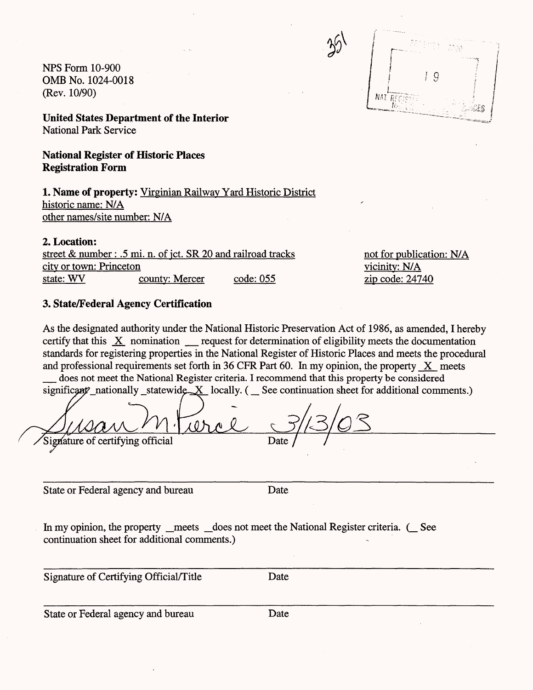NFS Form 10-900  $OMB No. 1024-0018$   $19$ (Rev. 10/90)

NAT P

**United States Department of the Interior** National Park Service

**National Register of Historic Places Registration Form**

**1. Name of property:** Virginian Railway Yard Historic District historic name: N/A other names/site number: N/A

2. Location:

street & number : .5 mi. n. of jct. SR 20 and railroad tracks not for publication:  $N/A$ city or town: Princeton vicinity: N/A state: WV county: Mercer code: 055 zip code: 24740

# **3. State/Federal Agency Certification**

As the designated authority under the National Historic Preservation Act of 1986, as amended, I hereby certify that this X nomination request for determination of eligibility meets the documentation standards for registering properties in the National Register of Historic Places and meets the procedural and professional requirements set forth in 36 CFR Part 60. In my opinion, the property X meets

does not meet the National Register criteria. I recommend that this property be considered significant nationally statewide  $X$  locally. ( $\subseteq$  See continuation sheet for additional comments.)

Signature of certifying official

State or Federal agency and bureau Date

In my opinion, the property \_meets \_does not meet the National Register criteria. ( \_See continuation sheet for additional comments.)

Signature of Certifying Official/Title Date

State or Federal agency and bureau Date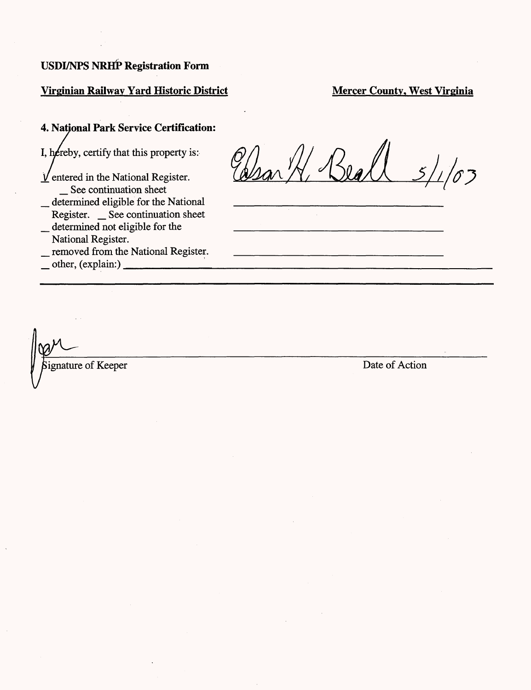# **Virginian Railway Yard Historic District Server County, West Virginia**

# **4. National Park Service Certification:**

I, hereby, certify that this property is:

- $\underline{V}$  entered in the National Register. \_ See continuation sheet
- \_ determined eligible for the National Register. \_ See continuation sheet determined not eligible for the
- National Register.
- \_ removed from the National Register.

 $_$  other, (explain:)  $_$ 

 $\sqrt[3]{3}$ 

ignature of Keeper Date of Action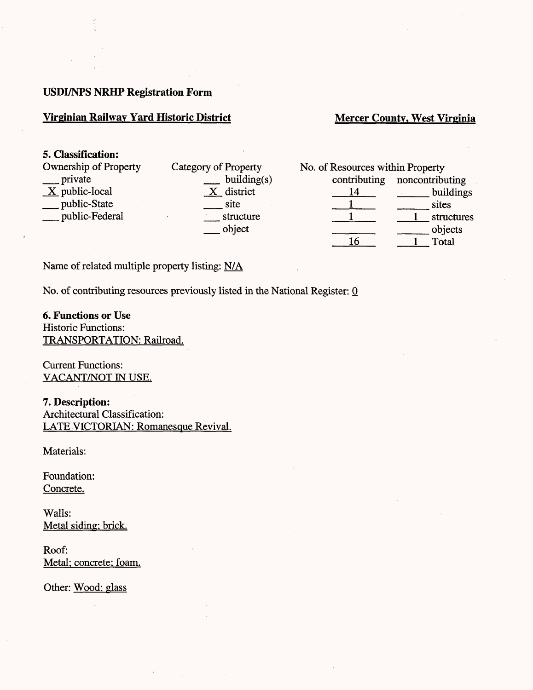# **Virginian Railway Yard Historic District Server Accept Mercer County, West Virginia**

### **5. Classification:**

| <b>Ownership of Property</b> | Category of P |
|------------------------------|---------------|
| private                      | h             |
| $X$ public-local             | d             |
| public-State                 | S1            |
| public-Federal               | sti           |
|                              |               |

| Category of Property |  |
|----------------------|--|
| building(s)          |  |
| X district           |  |
| site                 |  |
| structure            |  |
| object               |  |

| No. of Resources within Property |                              |
|----------------------------------|------------------------------|
|                                  | contributing noncontributing |
| 14                               | buildings                    |
|                                  | sites                        |
|                                  | structures                   |
|                                  | objects                      |
|                                  | Total                        |

Name of related multiple property listing: N/A

No. of contributing resources previously listed in the National Register: 0

**6. Functions or Use** Historic Functions: TRANSPORTATION: Railroad.

Current Functions: VACANT/NOT IN USE.

**7. Description:** Architectural Classification: LATE VICTORIAN: Romanesque Revival.

Materials:

Foundation: Concrete.

Walls: Metal siding: brick.

Roof: Metal; concrete; foam.

Other: Wood; glass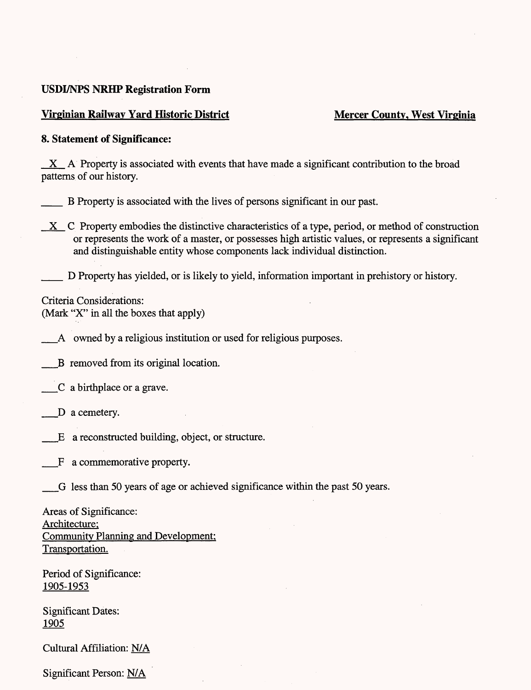### **Virginian Railway Yard Historic District Mercer County, West Virginia**

#### **8. Statement of Significance:**

 $X$  A Property is associated with events that have made a significant contribution to the broad patterns of our history.

- \_\_ B Property is associated with the lives of persons significant in our past.
- $X$  C Property embodies the distinctive characteristics of a type, period, or method of construction or represents the work of a master, or possesses high artistic values, or represents a significant and distinguishable entity whose components lack individual distinction.

D Property has yielded, or is likely to yield, information important in prehistory or history.

Criteria Considerations: (Mark "X" in all the boxes that apply)

\_\_A owned by a religious institution or used for religious purposes.

\_\_B removed from its original location.

\_\_C a birthplace or a grave.

\_D a cemetery.

\_E a reconstructed building, object, or structure.

\_F a commemorative property.

\_G less than 50 years of age or achieved significance within the past 50 years.

Areas of Significance: Architecture: Community Planning and Development: Transportation.

Period of Significance: 1905-1953

Significant Dates: 1905

Cultural Affiliation: N/A

Significant Person: N/A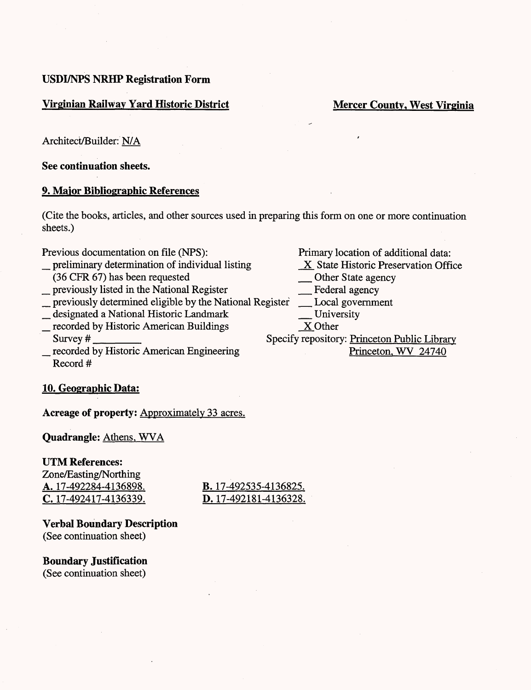## **Virginian Railway Yard Historic District Service Service Service Mercer County, West Virginia**

Architect/Builder: N/A

See **continuation sheets.**

### **9. Major Bibliographic References**

(Cite the books, articles, and other sources used in preparing this form on one or more continuation sheets.)

- Previous documentation on file (NPS):<br>
preliminary determination of individual listing<br>
X State Historic Preservation Office preliminary determination of individual listing X State Historic Preservation Office<br>
(36 CFR 67) has been requested <u>Determination</u> Other State agency
- 
- \_ previously listed in the National Register \_ Federal agency previously listed in the National Register Federal agency<br>previously determined eligible by the National Register Local government
- \_ designated a National Historic Landmark \_ University designated a National Historic Landmark<br>
<u>Corded by Historic American Buildings</u><br>
Survey # Specify repository: Pri
- 
- recorded by Historic American Engineering Record *#*

# **10. Geographic Data:**

**Acreage of property:** Approximately 33 acres.

**Quadrangle:** Athens. WVA

#### **UTM References:**

Zone/Easting/Northing A. 17-492284-4136898. B. 17-492535-4136825. C. 17-492417-4136339. D. 17-492181-4136328.

**Verbal Boundary Description** (See continuation sheet)

**Boundary Justification** (See continuation sheet)

- 
- 
- 

Specify repository: Princeton Public Library<br>Princeton, WV 24740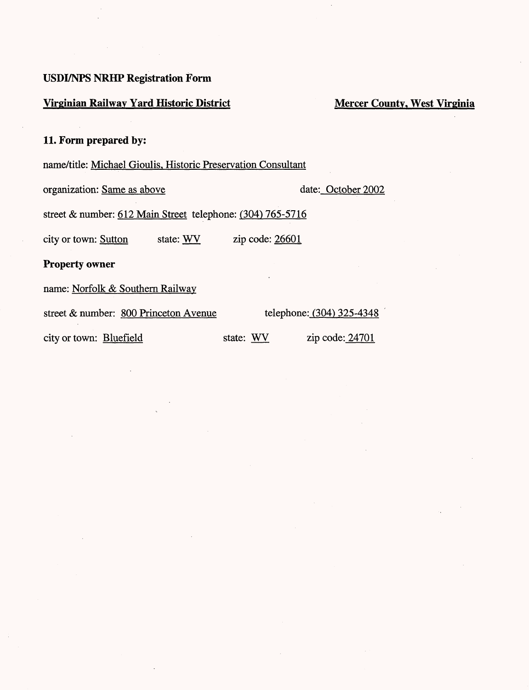# **Virginian Railway Yard Historic District Mercer County, West Virginia**

# **11. Form prepared by:**

# name/title: Michael Gioulis, Historic Preservation Consultant

organization: Same as above date: October 2002

street & number: 612 Main Street telephone: (304) 765-5716

city or town: Sutton state: WV zip code: 26601

**Property owner**

name: Norfolk & Southern Railway

street & number: 800 Princeton Avenue telephone: (304) 325-4348

city or town: **Bluefield** state: WV zip code: 24701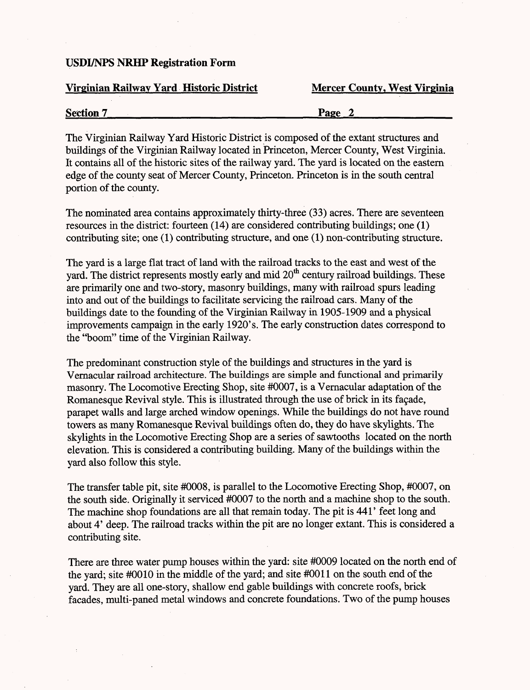#### **Virginian Railway Yard Historic District Mercer County, West Virginia**

| <b>Section 7</b> | Page |
|------------------|------|
|                  |      |

The Virginian Railway Yard Historic District is composed of the extant structures and buildings of the Virginian Railway located in Princeton, Mercer County, West Virginia. It contains all of the historic sites of the railway yard. The yard is located on the eastern edge of the county seat of Mercer County, Princeton. Princeton is in the south central portion of the county.

The nominated area contains approximately thirty-three (33) acres. There are seventeen resources in the district: fourteen (14) are considered contributing buildings; one (1) contributing site; one (1) contributing structure, and one (1) non-contributing structure.

The yard is a large flat tract of land with the railroad tracks to the east and west of the yard. The district represents mostly early and mid 20<sup>th</sup> century railroad buildings. These are primarily one and two-story, masonry buildings, many with railroad spurs leading into and out of the buildings to facilitate servicing the railroad cars. Many of the buildings date to the founding of the Virginian Railway in 1905-1909 and a physical improvements campaign in the early 1920's. The early construction dates correspond to the "boom" time of the Virginian Railway.

The predominant construction style of the buildings and structures in the yard is Vernacular railroad architecture. The buildings are simple and functional and primarily masonry. The Locomotive Erecting Shop, site #0007, is a Vernacular adaptation of the Romanesque Revival style. This is illustrated through the use of brick in its façade, parapet walls and large arched window openings. While the buildings do not have round towers as many Romanesque Revival buildings often do, they do have skylights. The skylights in the Locomotive Erecting Shop are a series of sawtooths located on the north elevation. This is considered a contributing building. Many of the buildings within the yard also follow this style.

The transfer table pit, site #0008, is parallel to the Locomotive Erecting Shop, #0007, on the south side. Originally it serviced #0007 to the north and a machine shop to the south. The machine shop foundations are all that remain today. The pit is 441' feet long and about 4' deep. The railroad tracks within the pit are no longer extant. This is considered a contributing site.

There are three water pump houses within the yard: site #0009 located on the north end of the yard; site #0010 in the middle of the yard; and site #0011 on the south end of the yard. They are all one-story, shallow end gable buildings with concrete roofs, brick facades, multi-paned metal windows and concrete foundations. Two of the pump houses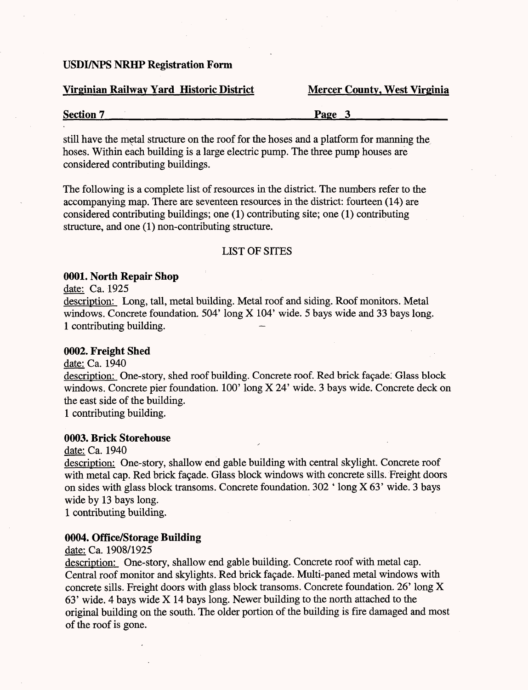#### **Virginian Railway Yard Historic District**

|  | <b>Mercer County, West Virginia</b> |
|--|-------------------------------------|
|  |                                     |

| <b>Section 7</b> | Page |
|------------------|------|
|                  |      |

still have the metal structure on the roof for the hoses and a platform for manning the hoses. Within each building is a large electric pump. The three pump houses are considered contributing buildings.

The following is a complete list of resources in the district. The numbers refer to the accompanying map. There are seventeen resources in the district: fourteen (14) are considered contributing buildings; one (1) contributing site; one (1) contributing structure, and one (1) non-contributing structure.

#### LIST OF SITES

#### **0001. North Repair Shop**

date: Ca. 1925

description: Long, tall, metal building. Metal roof and siding. Roof monitors. Metal windows. Concrete foundation. 504' long X 104' wide. 5 bays wide and 33 bays long. 1 contributing building.

#### **0002. Freight Shed**

date: Ca. 1940

description: One-story, shed roof building. Concrete roof. Red brick façade. Glass block windows. Concrete pier foundation. 100' long X 24' wide. 3 bays wide. Concrete deck on the east side of the building.

1 contributing building.

#### **0003. Brick Storehouse**

date: Ca. 1940

description: One-story, shallow end gable building with central skylight. Concrete roof with metal cap. Red brick façade. Glass block windows with concrete sills. Freight doors on sides with glass block transoms. Concrete foundation. 302 ' long X 63' wide. 3 bays wide by 13 bays long.

1 contributing building.

# **0004. Office/Storage Building**

date: Ca. 1908/1925

description: One-story, shallow end gable building. Concrete roof with metal cap. Central roof monitor and skylights. Red brick façade. Multi-paned metal windows with concrete sills. Freight doors with glass block transoms. Concrete foundation. 26' long X 63' wide. 4 bays wide X 14 bays long. Newer building to the north attached to the original building on the south. The older portion of the building is fire damaged and most of the roof is gone.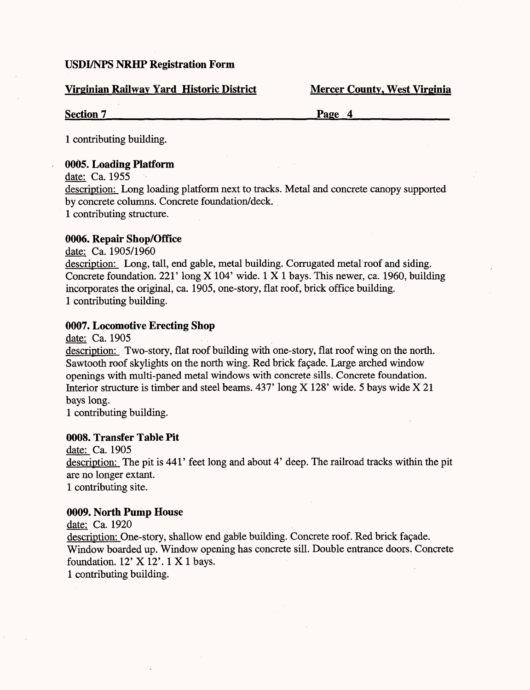### **Virginian Railway Yard Historic District Mercer County, West Virginia**

**Section 7\_\_\_\_\_\_\_\_\_\_\_\_\_\_\_\_\_\_\_\_\_\_\_\_\_Page 4\_\_\_\_\_\_\_\_\_\_\_**

1 contributing building.

### **0005. Loading Platform**

date: Ca. 1955 description: Long loading platform next to tracks. Metal and concrete canopy supported by concrete columns. Concrete foundation/deck. 1 contributing structure.

# **0006. Repair Shop/Office**

date: Ca. 1905/1960 description: Long, tall, end gable, metal building. Corrugated metal roof and siding. Concrete foundation. 221' long X 104' wide. 1X1 bays. This newer, ca. 1960, building incorporates the original, ca. 1905, one-story, flat roof, brick office building. 1 contributing building.

### **0007. Locomotive Erecting Shop**

date: Ca. 1905

description: Two-story, flat roof building with one-story, flat roof wing on the north. Sawtooth roof skylights on the north wing. Red brick facade. Large arched window openings with multi-paned metal windows with concrete sills. Concrete foundation. Interior structure is timber and steel beams. 437' long X 128' wide. 5 bays wide X 21 bays long.

1 contributing building.

### **0008. Transfer Table Pit**

date: Ca. 1905 description: The pit is 441' feet long and about 4' deep. The railroad tracks within the pit are no longer extant. 1 contributing site.

#### **0009. North Pump House**

date: Ca. 1920 description: One-story, shallow end gable building. Concrete roof. Red brick façade. Window boarded up. Window opening has concrete sill. Double entrance doors. Concrete foundation. 12' X 12'. 1 X 1 bays. 1 contributing building.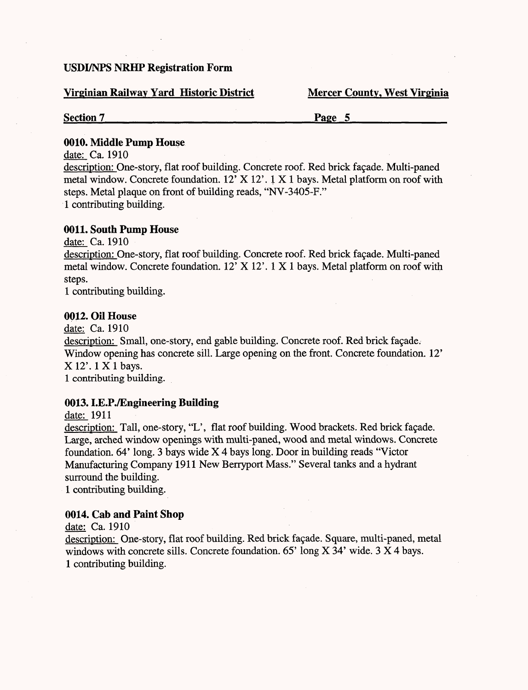#### **Virginian Railway Yard Historic District Mercer County, West Virginia**

**Section 7\_\_\_\_\_\_\_\_\_\_\_\_\_\_\_\_\_\_\_\_\_\_\_\_\_Page 5\_\_\_\_\_\_\_\_\_\_\_**

#### **0010. Middle Pump House**

date: Ca. 1910

description: One-story, flat roof building. Concrete roof. Red brick fagade. Multi-paned metal window. Concrete foundation. 12' X 12'. 1 X 1 bays. Metal platform on roof with steps. Metal plaque on front of building reads, "NV-3405-F." 1 contributing building.

#### **0011. South Pump House**

date: Ca. 1910

description: One-story, flat roof building. Concrete roof. Red brick façade. Multi-paned metal window. Concrete foundation. 12' X 12'. 1X1 bays. Metal platform on roof with steps.

1 contributing building.

#### **0012. Oil House**

date: Ca. 1910

description: Small, one-story, end gable building. Concrete roof. Red brick fagade. Window opening has concrete sill. Large opening on the front. Concrete foundation. 12' X 12'. 1 X 1 bays.

1 contributing building.

# **0013.1.E.P./Engineering Building**

date: 1911

description: Tall, one-story, "L', flat roof building. Wood brackets. Red brick fagade. Large, arched window openings with multi-paned, wood and metal windows. Concrete foundation. 64' long. 3 bays wide X 4 bays long. Door in building reads "Victor Manufacturing Company 1911 New Berryport Mass." Several tanks and a hydrant surround the building.

1 contributing building.

#### **0014. Cab and Paint Shop**

date: Ca. 1910

description: One-story, flat roof building. Red brick façade. Square, multi-paned, metal windows with concrete sills. Concrete foundation. 65' long X 34' wide. 3  $\overline{X}$  4 bays. 1 contributing building.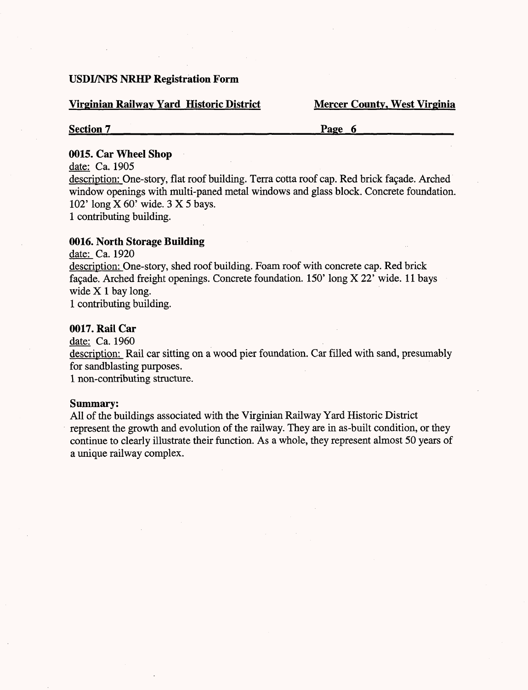#### **Virginian Railway Yard Historic District Mercer County, West Virginia**

# **Section 7\_\_\_\_\_\_\_\_\_\_\_\_\_\_\_\_\_\_\_\_\_\_\_\_\_\_Page 6\_\_\_\_\_\_\_\_\_\_\_\_**

#### **0015. Car Wheel Shop**

date: Ca. 1905

description: One-story, flat roof building. Terra cotta roof cap. Red brick facade. Arched window openings with multi-paned metal windows and glass block. Concrete foundation. 102' long X 60' wide. 3X5 bays. 1 contributing building.

# **0016. North Storage Building**

date: Ca. 1920

description: One-story, shed roof building. Foam roof with concrete cap. Red brick façade. Arched freight openings. Concrete foundation.  $150'$  long X 22' wide. 11 bays wide X 1 bay long.

1 contributing building.

### **0017. Rail Car**

date: Ca. 1960

description: Rail car sitting on a wood pier foundation. Car filled with sand, presumably for sandblasting purposes.

1 non-contributing structure.

#### **Summary:**

All of the buildings associated with the Virginian Railway Yard Historic District represent the growth and evolution of the railway. They are in as-built condition, or they continue to clearly illustrate their function. As a whole, they represent almost 50 years of a unique railway complex.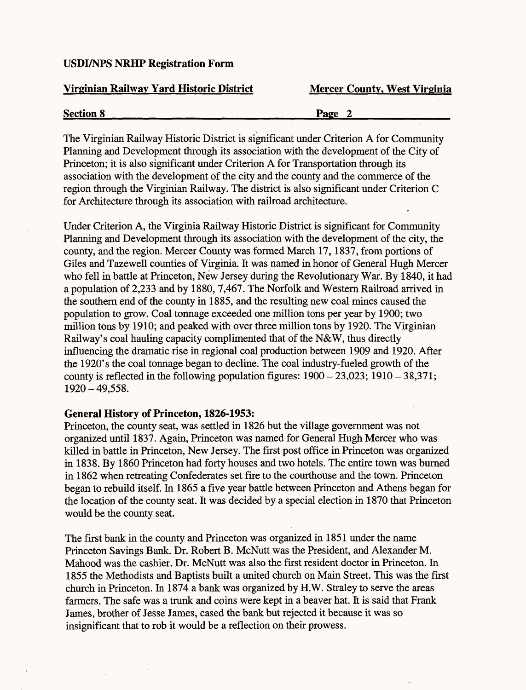### **Virginian Railway Yard Historic District Mercer County, West Virginia**

| <b>Section 8</b> | Page |
|------------------|------|
|                  |      |

The Virginian Railway Historic District is significant under Criterion A for Community Planning and Development through its association with the development of the City of Princeton; it is also significant under Criterion A for Transportation through its association with the development of the city and the county and the commerce of the region through the Virginian Railway. The district is also significant under Criterion C for Architecture through its association with railroad architecture.

Under Criterion A, the Virginia Railway Historic District is significant for Community Planning and Development through its association with the development of the city, the county, and the region. Mercer County was formed March 17,1837, from portions of Giles and Tazewell counties of Virginia. It was named in honor of General Hugh Mercer who fell in battle at Princeton, New Jersey during the Revolutionary War. By 1840, it had a population of 2,233 and by 1880,7,467. The Norfolk and Western Railroad arrived in the southern end of the county in 1885, and the resulting new coal mines caused the population to grow. Coal tonnage exceeded one million tons per year by 1900; two million tons by 1910; and peaked with over three million tons by 1920. The Virginian Railway's coal hauling capacity complimented that of the N&W, thus directly influencing the dramatic rise in regional coal production between 1909 and 1920. After the 1920's the coal tonnage began to decline. The coal industry-fueled growth of the county is reflected in the following population figures:  $1900 - 23,023$ ;  $1910 - 38,371$ ; 1920-49,558.

#### **General History of Princeton, 1826-1953:**

Princeton, the county seat, was settled in 1826 but the village government was not organized until 1837. Again, Princeton was named for General Hugh Mercer who was killed in battle in Princeton, New Jersey. The first post office in Princeton was organized in 1838. By 1860 Princeton had forty houses and two hotels. The entire town was burned in 1862 when retreating Confederates set fire to the courthouse and the town. Princeton began to rebuild itself. In 1865 a five year battle between Princeton and Athens began for the location of the county seat. It was decided by a special election in 1870 that Princeton would be the county seat.

The first bank in the county and Princeton was organized in 1851 under the name Princeton Savings Bank. Dr. Robert B. McNutt was the President, and Alexander M. Mahood was the cashier. Dr. McNutt was also the first resident doctor in Princeton. In 1855 the Methodists and Baptists built a united church on Main Street. This was the first church in Princeton. In 1874 a bank was organized by H.W. Straley to serve the areas farmers. The safe was a trunk and coins were kept in a beaver hat. It is said that Frank James, brother of Jesse James, cased the bank but rejected it because it was so insignificant that to rob it would be a reflection on their prowess.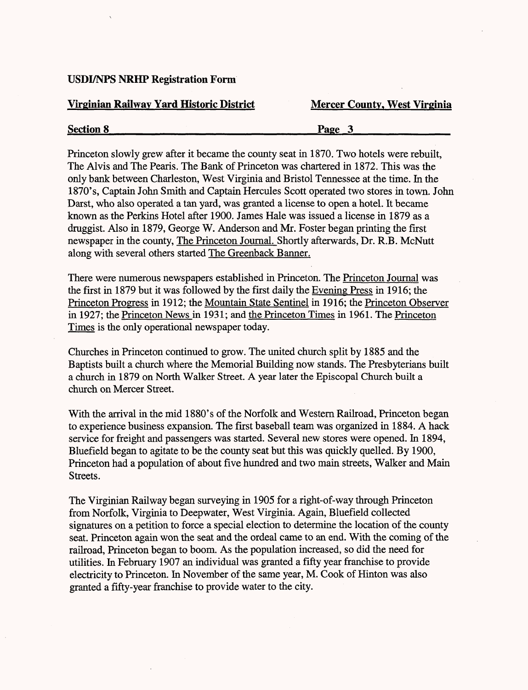### **Virginian Railway Yard Historic District Mercer County, West Virginia**

# **Section 8\_\_\_\_\_\_\_\_\_\_\_\_\_\_\_\_\_\_\_\_\_\_\_\_\_Page 3\_\_\_\_\_\_\_\_\_\_\_**

Princeton slowly grew after it became the county seat in 1870. Two hotels were rebuilt, The Alvis and The Pearis. The Bank of Princeton was chartered in 1872. This was the only bank between Charleston, West Virginia and Bristol Tennessee at the time. In the 1870's, Captain John Smith and Captain Hercules Scott operated two stores in town. John Darst, who also operated a tan yard, was granted a license to open a hotel. It became known as the Perkins Hotel after 1900. James Hale was issued a license in 1879 as a druggist. Also in 1879, George W. Anderson and Mr. Foster began printing the first newspaper in the county, The Princeton Journal. Shortly afterwards, Dr. R.B. McNutt along with several others started The Greenback Banner.

There were numerous newspapers established in Princeton. The Princeton Journal was the first in 1879 but it was followed by the first daily the Evening Press in 1916; the Princeton Progress in 1912; the Mountain State Sentinel in 1916; the Princeton Observer in 1927; the Princeton News in 1931; and the Princeton Times in 1961. The Princeton Times is the only operational newspaper today.

Churches in Princeton continued to grow. The united church split by 1885 and the Baptists built a church where the Memorial Building now stands. The Presbyterians built a church in 1879 on North Walker Street. A year later the Episcopal Church built a church on Mercer Street.

With the arrival in the mid 1880's of the Norfolk and Western Railroad, Princeton began to experience business expansion. The first baseball team was organized in 1884. A hack service for freight and passengers was started. Several new stores were opened. In 1894, Bluefield began to agitate to be the county seat but this was quickly quelled. By 1900, Princeton had a population of about five hundred and two main streets, Walker and Main Streets.

The Virginian Railway began surveying in 1905 for a right-of-way through Princeton from Norfolk, Virginia to Deepwater, West Virginia. Again, Bluefield collected signatures on a petition to force a special election to determine the location of the county seat. Princeton again won the seat and the ordeal came to an end. With the coming of the railroad, Princeton began to boom. As the population increased, so did the need for utilities. In February 1907 an individual was granted a fifty year franchise to provide electricity to Princeton. In November of the same year, M. Cook of Hinton was also granted a fifty-year franchise to provide water to the city.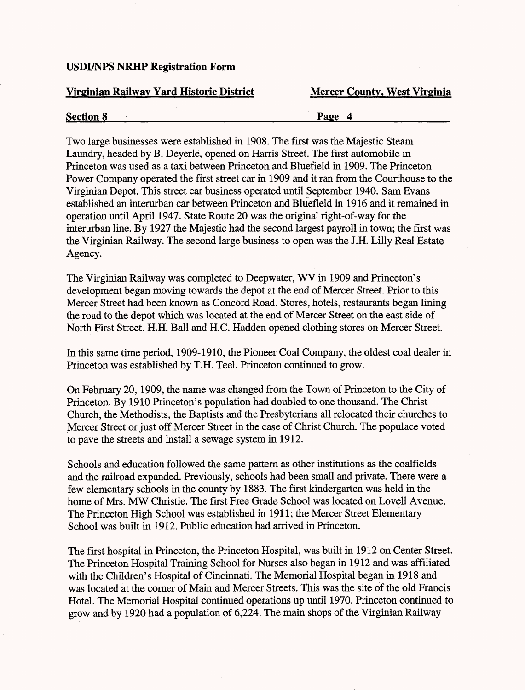#### **Virginian Railway Yard Historic District Mercer County, West Virginia**

|  | <b>Section 8</b> | Page |  |  |
|--|------------------|------|--|--|
|--|------------------|------|--|--|

Two large businesses were established in 1908. The first was the Majestic Steam Laundry, headed by B. Deyerle, opened on Harris Street. The first automobile in Princeton was used as a taxi between Princeton and Bluefield in 1909. The Princeton Power Company operated the first street car in 1909 and it ran from the Courthouse to the Virginian Depot. This street car business operated until September 1940. Sam Evans established an interurban car between Princeton and Bluefield in 1916 and it remained in operation until April 1947. State Route 20 was the original right-of-way for the interurban line. By 1927 the Majestic had the second largest payroll in town; the first was the Virginian Railway. The second large business to open was the J.H. Lilly Real Estate Agency.

The Virginian Railway was completed to Deepwater, WV in 1909 and Princeton's development began moving towards the depot at the end of Mercer Street. Prior to this Mercer Street had been known as Concord Road. Stores, hotels, restaurants began lining the road to the depot which was located at the end of Mercer Street on the east side of North First Street. H.H. Ball and H.C. Hadden opened clothing stores on Mercer Street.

In this same time period, 1909-1910, the Pioneer Coal Company, the oldest coal dealer in Princeton was established by T.H. Teel. Princeton continued to grow.

On February 20,1909, the name was changed from the Town of Princeton to the City of Princeton. By 1910 Princeton's population had doubled to one thousand. The Christ Church, the Methodists, the Baptists and the Presbyterians all relocated their churches to Mercer Street or just off Mercer Street in the case of Christ Church. The populace voted to pave the streets and install a sewage system in 1912.

Schools and education followed the same pattern as other institutions as the coalfields and the railroad expanded. Previously, schools had been small and private. There were a few elementary schools in the county by 1883. The first kindergarten was held in the home of Mrs. MW Christie. The first Free Grade School was located on Lovell Avenue. The Princeton High School was established in 1911; the Mercer Street Elementary School was built in 1912. Public education had arrived in Princeton.

The first hospital in Princeton, the Princeton Hospital, was built in 1912 on Center Street. The Princeton Hospital Training School for Nurses also began in 1912 and was affiliated with the Children's Hospital of Cincinnati. The Memorial Hospital began in 1918 and was located at the corner of Main and Mercer Streets. This was the site of the old Francis Hotel. The Memorial Hospital continued operations up until 1970. Princeton continued to grow and by 1920 had a population of 6,224. The main shops of the Virginian Railway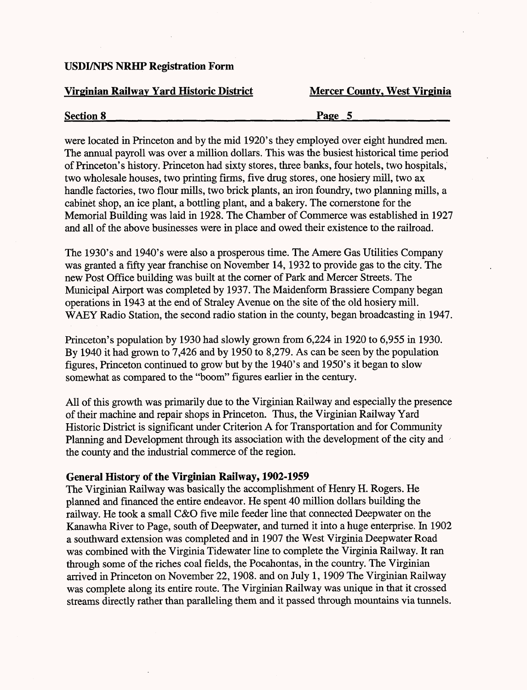### **Virginian Railway Yard Historic District Mercer County, West Virginia**

| <b>Section 8</b> | $\mathbf{v}_{\mathbf{a}\mathbf{o}\mathbf{e}}$ |
|------------------|-----------------------------------------------|
| --------         |                                               |

were located in Princeton and by the mid 1920's they employed over eight hundred men. The annual payroll was over a million dollars. This was the busiest historical time period of Princeton's history. Princeton had sixty stores, three banks, four hotels, two hospitals, two wholesale houses, two printing firms, five drug stores, one hosiery mill, two ax handle factories, two flour mills, two brick plants, an iron foundry, two planning mills, a cabinet shop, an ice plant, a bottling plant, and a bakery. The cornerstone for the Memorial Building was laid in 1928. The Chamber of Commerce was established in 1927 and all of the above businesses were in place and owed their existence to the railroad.

The 1930's and 1940's were also a prosperous time. The Amere Gas Utilities Company was granted a fifty year franchise on November 14,1932 to provide gas to the city. The new Post Office building was built at the corner of Park and Mercer Streets. The Municipal Airport was completed by 1937. The Maidenform Brassiere Company began operations in 1943 at the end of Straley Avenue on the site of the old hosiery mill. WAEY Radio Station, the second radio station in the county, began broadcasting in 1947.

Princeton's population by 1930 had slowly grown from 6,224 in 1920 to 6,955 in 1930. By 1940 it had grown to 7,426 and by 1950 to 8,279. As can be seen by the population figures, Princeton continued to grow but by the 1940's and 1950's it began to slow somewhat as compared to the "boom" figures earlier in the century.

All of this growth was primarily due to the Virginian Railway and especially the presence of their machine and repair shops in Princeton. Thus, the Virginian Railway Yard Historic District is significant under Criterion A for Transportation and for Community Planning and Development through its association with the development of the city and the county and the industrial commerce of the region.

# **General History of the Virginian Railway, 1902-1959**

The Virginian Railway was basically the accomplishment of Henry H. Rogers. He planned and financed the entire endeavor. He spent 40 million dollars building the railway. He took a small C&O five mile feeder line that connected Deepwater on the Kanawha River to Page, south of Deepwater, and turned it into a huge enterprise. In 1902 a southward extension was completed and in 1907 the West Virginia Deepwater Road was combined with the Virginia Tidewater line to complete the Virginia Railway. It ran through some of the riches coal fields, the Pocahontas, in the country. The Virginian arrived in Princeton on November 22,1908. and on July 1,1909 The Virginian Railway was complete along its entire route. The Virginian Railway was unique in that it crossed streams directly rather than paralleling them and it passed through mountains via tunnels.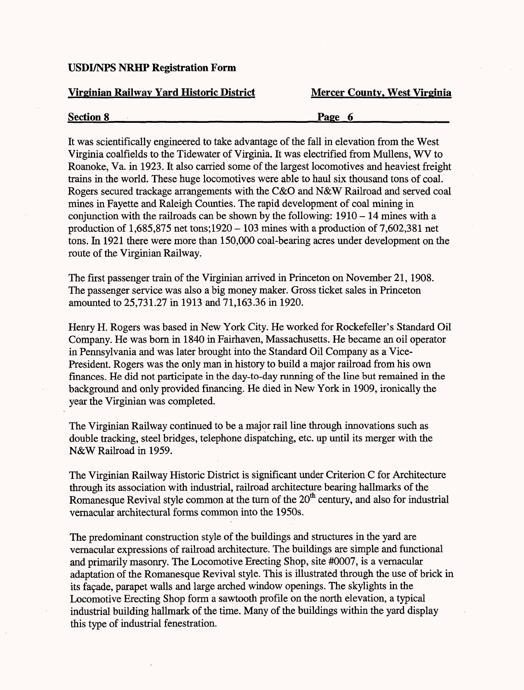#### **Virginian Railway Yard Historic District Mercer County, West Virginia**

# **Section 8 Page 6 Page 6**

It was scientifically engineered to take advantage of the fall in elevation from the West Virginia coalfields to the Tidewater of Virginia. It was electrified from Mullens, WV to Roanoke, Va. in 1923. It also carried some of the largest locomotives and heaviest freight trains in the world. These huge locomotives were able to haul six thousand tons of coal. Rogers secured trackage arrangements with the C&O and N&W Railroad and served coal mines in Fayette and Raleigh Counties. The rapid development of coal mining in conjunction with the railroads can be shown by the following:  $1910 - 14$  mines with a production of  $1,685,875$  net tons; 1920 - 103 mines with a production of 7,602,381 net tons. In 1921 there were more than 150,000 coal-bearing acres under development on the route of the Virginian Railway.

The first passenger train of the Virginian arrived in Princeton on November 21, 1908. The passenger service was also a big money maker. Gross ticket sales in Princeton amounted to 25,731.27 in 1913 and 71,163.36 in 1920.

Henry H. Rogers was based in New York City. He worked for Rockefeller's Standard Oil Company. He was born in 1840 in Fairhaven, Massachusetts. He became an oil operator in Pennsylvania and was later brought into the Standard Oil Company as a Vice-President. Rogers was the only man in history to build a major railroad from his own finances. He did not participate in the day-to-day running of the line but remained in the background and only provided financing. He died in New York in 1909, ironically the year the Virginian was completed.

The Virginian Railway continued to be a major rail line through innovations such as double tracking, steel bridges, telephone dispatching, etc. up until its merger with the N&W Railroad in 1959.

The Virginian Railway Historic District is significant under Criterion C for Architecture through its association with industrial, railroad architecture bearing hallmarks of the Romanesque Revival style common at the turn of the 20<sup>th</sup> century, and also for industrial vernacular architectural forms common into the 1950s.

The predominant construction style of the buildings and structures in the yard are vernacular expressions of railroad architecture. The buildings are simple and functional and primarily masonry. The Locomotive Erecting Shop, site #0007, is a vernacular adaptation of the Romanesque Revival style. This is illustrated through the use of brick in its facade, parapet walls and large arched window openings. The skylights in the Locomotive Erecting Shop form a sawtooth profile on the north elevation, a typical industrial building hallmark of the time. Many of the buildings within the yard display this type of industrial fenestration.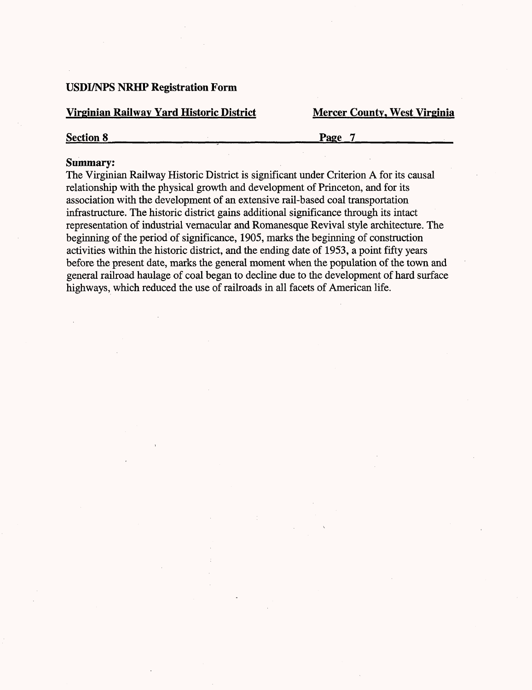#### **Virginian Railway Yard Historic District Mercer County, West Virginia**

**Section 8 Page 7 Page 7** 

#### **Summary:**

The Virginian Railway Historic District is significant under Criterion A for its causal relationship with the physical growth and development of Princeton, and for its association with the development of an extensive rail-based coal transportation infrastructure. The historic district gains additional significance through its intact representation of industrial vernacular and Romanesque Revival style architecture. The beginning of the period of significance, 1905, marks the beginning of construction activities within the historic district, and the ending date of 1953, a point fifty years before the present date, marks the general moment when the population of the town and general railroad haulage of coal began to decline due to the development of hard surface highways, which reduced the use of railroads in all facets of American life.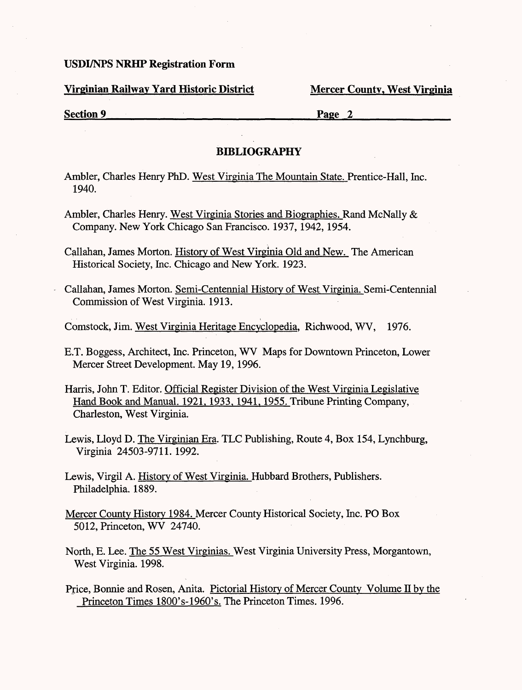**Virginian Railway Yard Historic District Mercer County, West Virginia** 

**Section 9**<br>**Page 2** 

### **BIBLIOGRAPHY**

- Ambler, Charles Henry PhD. West Virginia The Mountain State. Prentice-Hall. Inc. 1940.
- Ambler, Charles Henry. West Virginia Stories and Biographies. Rand McNally & Company. New York Chicago San Francisco. 1937, 1942, 1954.
- Callahan, James Morton. History of West Virginia Old and New. The American Historical Society, Inc. Chicago and New York. 1923.
- Callahan, James Morton. Semi-Centennial History of West Virginia. Semi-Centennial Commission of West Virginia. 1913.
- Comstock, Jim. West Virginia Heritage Encyclopedia, Richwood, WV, 1976.
- E.T. Boggess, Architect, Inc. Princeton, WV Maps for Downtown Princeton, Lower Mercer Street Development. May 19,1996.
- Harris, John T. Editor. Official Register Division of the West Virginia Legislative Hand Book and Manual. 1921, 1933, 1941, 1955. Tribune Printing Company, Charleston, West Virginia.
- Lewis, Lloyd D. The Virginian Era. TLC Publishing, Route 4, Box 154, Lynchburg, Virginia 24503-9711. 1992.
- Lewis, Virgil A. History of West Virginia. Hubbard Brothers, Publishers. Philadelphia. 1889.
- Mercer County History 1984. Mercer County Historical Society, Inc. PO Box 5012, Princeton, WV 24740.
- North, E. Lee. The 55 West Virginias. West Virginia University Press, Morgantown, West Virginia. 1998.
- Price, Bonnie and Rosen, Anita. Pictorial History of Mercer County Volume II by the Princeton Times 180Q's-196Q's. The Princeton Times. 1996.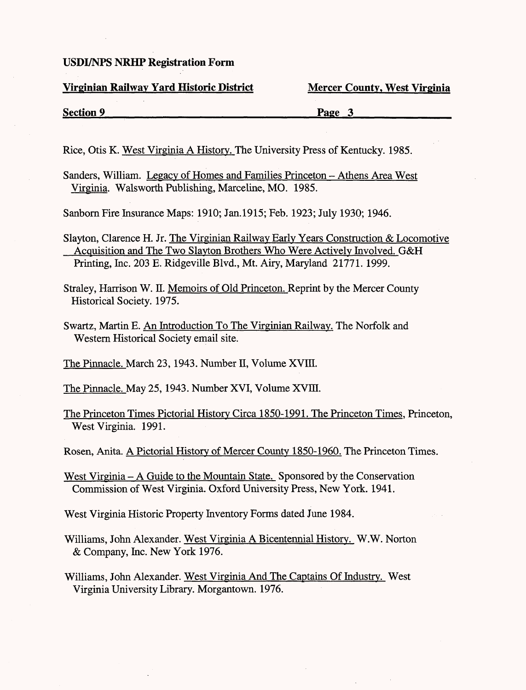#### **Virginian Railway Yard Historic District Mercer County, West Virginia**

# **Section 9 Page 3**

Rice, Otis K. West Virginia A History. The University Press of Kentucky. 1985.

Sanders, William. Legacy of Homes and Families Princeton - Athens Area West Virginia. Walsworth Publishing, Marceline, MO. 1985.

Sanborn Fire Insurance Maps: 1910; Jan.1915; Feb. 1923; July 1930; 1946.

Slayton, Clarence H. Jr. The Virginian Railway Early Years Construction & Locomotive Acquisition and The Two Slavton Brothers Who Were Actively Involved. G&H Printing, Inc. 203 E. Ridgeville Blvd., Mt. Airy, Maryland 21771. 1999.

Straley, Harrison W. II. Memoirs of Old Princeton. Reprint by the Mercer County Historical Society. 1975.

Swartz, Martin E. An Introduction To The Virginian Railway. The Norfolk and Western Historical Society email site.

The Pinnacle. March 23, 1943. Number II, Volume XVIII.

The Pinnacle. May 25,1943. Number XVI, Volume XVIH.

The Princeton Times Pictorial History Circa 1850-1991. The Princeton Times, Princeton, West Virginia. 1991.

Rosen, Anita. A Pictorial History of Mercer County 1850-1960. The Princeton Times.

West Virginia – A Guide to the Mountain State. Sponsored by the Conservation Commission of West Virginia. Oxford University Press, New York. 1941.

West Virginia Historic Property Inventory Forms dated June 1984.

Williams, John Alexander. West Virginia A Bicentennial History. W.W. Norton & Company, Inc. New York 1976.

Williams, John Alexander. West Virginia And The Captains Of Industry. West Virginia University Library. Morgantown. 1976.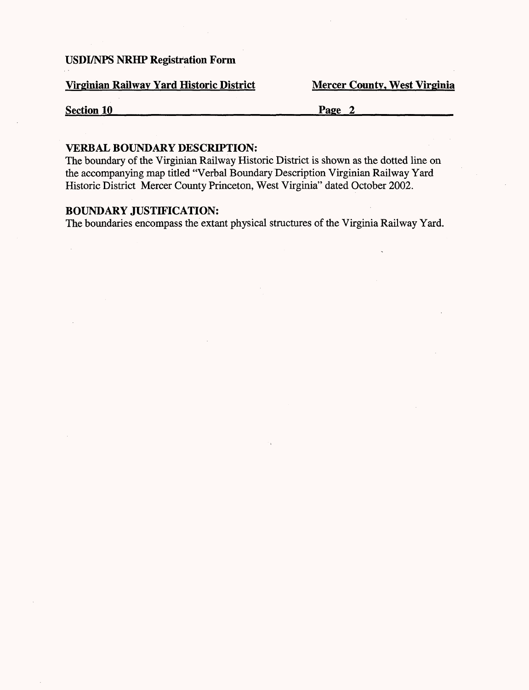**Virginian Railway Yard Historic District Mercer County, West Virginia** 

**Section 10** Page 2

#### **VERBAL BOUNDARY DESCRIPTION:**

The boundary of the Virginian Railway Historic District is shown as the dotted line on the accompanying map titled "Verbal Boundary Description Virginian Railway Yard Historic District Mercer County Princeton, West Virginia" dated October 2002.

### **BOUNDARY JUSTIFICATION:**

The boundaries encompass the extant physical structures of the Virginia Railway Yard.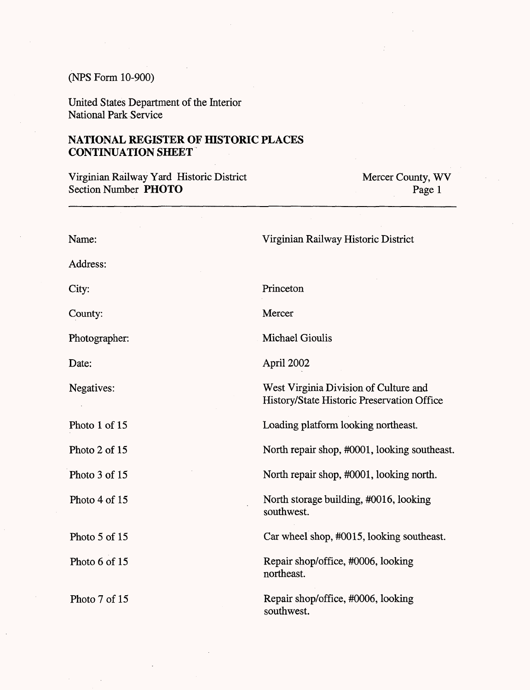#### (NFS Form 10-900)

Photo 7 of 15

Photo 5 of 15

Photo 6 of 15

United States Department of the Interior National Park Service

# **NATIONAL REGISTER OF HISTORIC PLACES CONTINUATION SHEET**

Virginian Railway Yard Historic District Section Number **PHOTO** Mercer County, WV Page 1 Name: Address: City: County: Photographer: Date: Negatives: Photo 1 of 15 Photo 2 of 15 Photo 3 of 15 Photo 4 of 15 Virginian Railway Historic District Princeton **Mercer** Michael Gioulis April 2002 West Virginia Division of Culture and History/State Historic Preservation Office Loading platform looking northeast. North repair shop, #0001, looking southeast. North repair shop, #0001, looking north. North storage building, #0016, looking southwest.

Car wheel shop, #0015, looking southeast.

Repair shop/office, #0006, looking northeast.

Repair shop/office, #0006, looking southwest.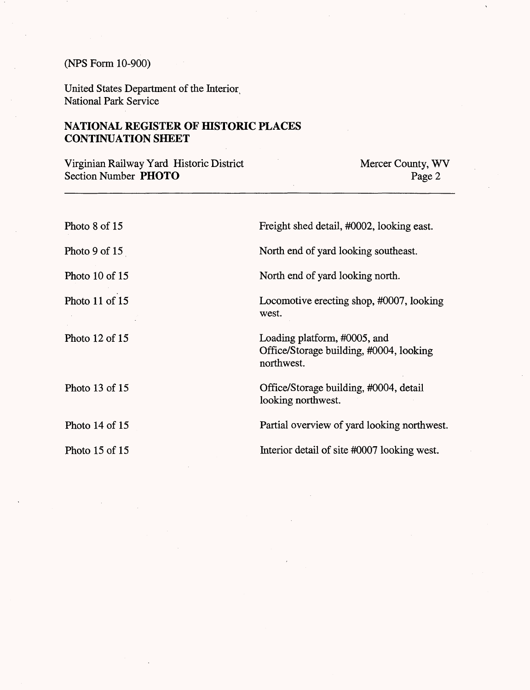# (NFS Form 10-900)

United States Department of the Interior; National Park Service

# **NATIONAL REGISTER OF HISTORIC PLACES CONTINUATION SHEET**

Virginian Railway Yard Historic District Section Number **PHOTO**

Mercer County, WV Page 2

| Photo $8$ of $15$  | Freight shed detail, #0002, looking east.                                             |
|--------------------|---------------------------------------------------------------------------------------|
| Photo 9 of $15$    | North end of yard looking southeast.                                                  |
| Photo 10 of 15     | North end of yard looking north.                                                      |
| Photo 11 of 15     | Locomotive erecting shop, #0007, looking<br>west.                                     |
| Photo $12$ of $15$ | Loading platform, #0005, and<br>Office/Storage building, #0004, looking<br>northwest. |
| Photo $13$ of $15$ | Office/Storage building, #0004, detail<br>looking northwest.                          |
| Photo $14$ of $15$ | Partial overview of yard looking northwest.                                           |
| Photo 15 of 15     | Interior detail of site #0007 looking west.                                           |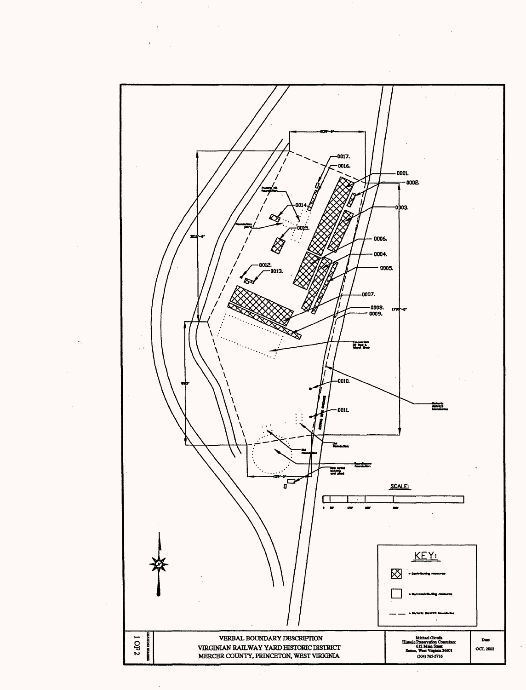